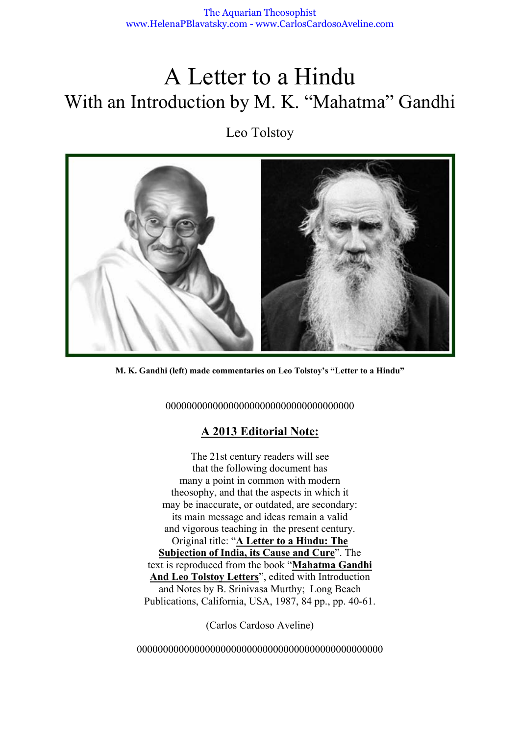# A Letter to a Hindu With an Introduction by M. K. "Mahatma" Gandhi

Leo Tolstoy



**M. K. Gandhi (left) made commentaries on Leo Tolstoy's "Letter to a Hindu"**

000000000000000000000000000000000000

## **A 2013 Editorial Note:**

The 21st century readers will see that the following document has many a point in common with modern theosophy, and that the aspects in which it may be inaccurate, or outdated, are secondary: its main message and ideas remain a valid and vigorous teaching in the present century. Original title: "**A Letter to a Hindu: The Subjection of India, its Cause and Cure**". The text is reproduced from the book "**Mahatma Gandhi And Leo Tolstoy Letters**", edited with Introduction and Notes by B. Srinivasa Murthy; Long Beach Publications, California, USA, 1987, 84 pp., pp. 40-61.

(Carlos Cardoso Aveline)

00000000000000000000000000000000000000000000000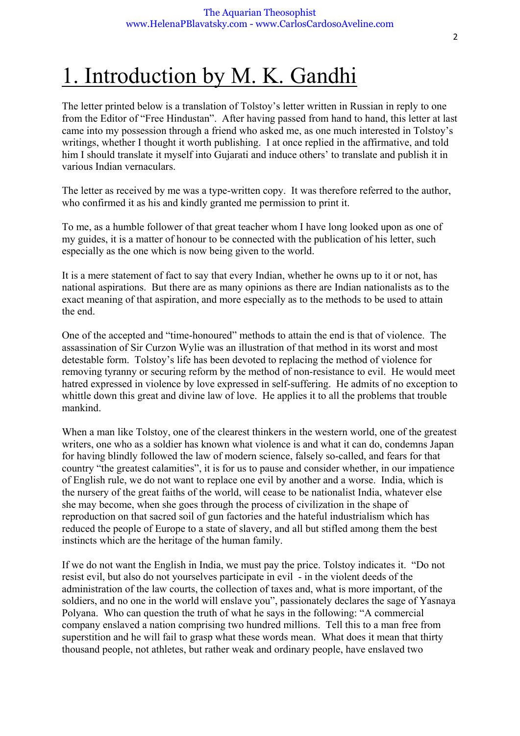# 1. Introduction by M. K. Gandhi

The letter printed below is a translation of Tolstoy's letter written in Russian in reply to one from the Editor of "Free Hindustan". After having passed from hand to hand, this letter at last came into my possession through a friend who asked me, as one much interested in Tolstoy's writings, whether I thought it worth publishing. I at once replied in the affirmative, and told him I should translate it myself into Gujarati and induce others' to translate and publish it in various Indian vernaculars.

The letter as received by me was a type-written copy. It was therefore referred to the author, who confirmed it as his and kindly granted me permission to print it.

To me, as a humble follower of that great teacher whom I have long looked upon as one of my guides, it is a matter of honour to be connected with the publication of his letter, such especially as the one which is now being given to the world.

It is a mere statement of fact to say that every Indian, whether he owns up to it or not, has national aspirations. But there are as many opinions as there are Indian nationalists as to the exact meaning of that aspiration, and more especially as to the methods to be used to attain the end.

One of the accepted and "time-honoured" methods to attain the end is that of violence. The assassination of Sir Curzon Wylie was an illustration of that method in its worst and most detestable form. Tolstoy's life has been devoted to replacing the method of violence for removing tyranny or securing reform by the method of non-resistance to evil. He would meet hatred expressed in violence by love expressed in self-suffering. He admits of no exception to whittle down this great and divine law of love. He applies it to all the problems that trouble mankind.

When a man like Tolstoy, one of the clearest thinkers in the western world, one of the greatest writers, one who as a soldier has known what violence is and what it can do, condemns Japan for having blindly followed the law of modern science, falsely so-called, and fears for that country "the greatest calamities", it is for us to pause and consider whether, in our impatience of English rule, we do not want to replace one evil by another and a worse. India, which is the nursery of the great faiths of the world, will cease to be nationalist India, whatever else she may become, when she goes through the process of civilization in the shape of reproduction on that sacred soil of gun factories and the hateful industrialism which has reduced the people of Europe to a state of slavery, and all but stifled among them the best instincts which are the heritage of the human family.

If we do not want the English in India, we must pay the price. Tolstoy indicates it. "Do not resist evil, but also do not yourselves participate in evil - in the violent deeds of the administration of the law courts, the collection of taxes and, what is more important, of the soldiers, and no one in the world will enslave you", passionately declares the sage of Yasnaya Polyana. Who can question the truth of what he says in the following: "A commercial company enslaved a nation comprising two hundred millions. Tell this to a man free from superstition and he will fail to grasp what these words mean. What does it mean that thirty thousand people, not athletes, but rather weak and ordinary people, have enslaved two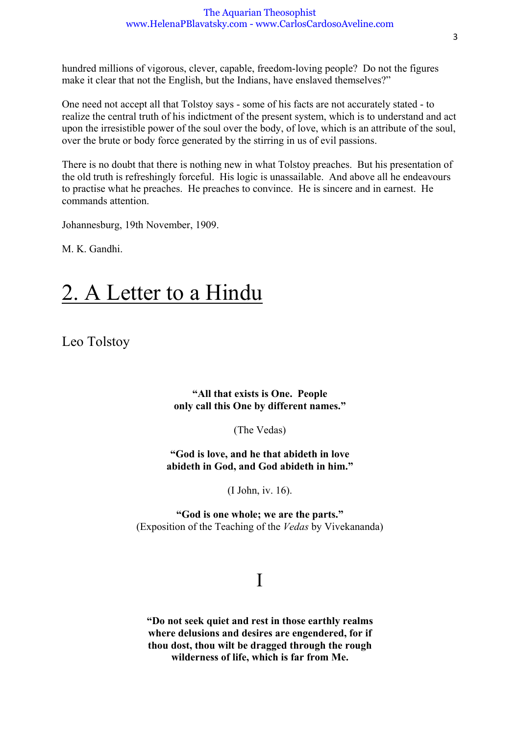#### The Aquarian Theosophist www.HelenaPBlavatsky.com - www.CarlosCardosoAveline.com

hundred millions of vigorous, clever, capable, freedom-loving people? Do not the figures make it clear that not the English, but the Indians, have enslaved themselves?"

One need not accept all that Tolstoy says - some of his facts are not accurately stated - to realize the central truth of his indictment of the present system, which is to understand and act upon the irresistible power of the soul over the body, of love, which is an attribute of the soul, over the brute or body force generated by the stirring in us of evil passions.

There is no doubt that there is nothing new in what Tolstoy preaches. But his presentation of the old truth is refreshingly forceful. His logic is unassailable. And above all he endeavours to practise what he preaches. He preaches to convince. He is sincere and in earnest. He commands attention.

Johannesburg, 19th November, 1909.

M. K. Gandhi.

# 2. A Letter to a Hindu

Leo Tolstoy

**"All that exists is One. People only call this One by different names."**

(The Vedas)

**"God is love, and he that abideth in love abideth in God, and God abideth in him."**

(I John, iv. 16).

**"God is one whole; we are the parts."** (Exposition of the Teaching of the *Vedas* by Vivekananda)

## I

**"Do not seek quiet and rest in those earthly realms where delusions and desires are engendered, for if thou dost, thou wilt be dragged through the rough wilderness of life, which is far from Me.**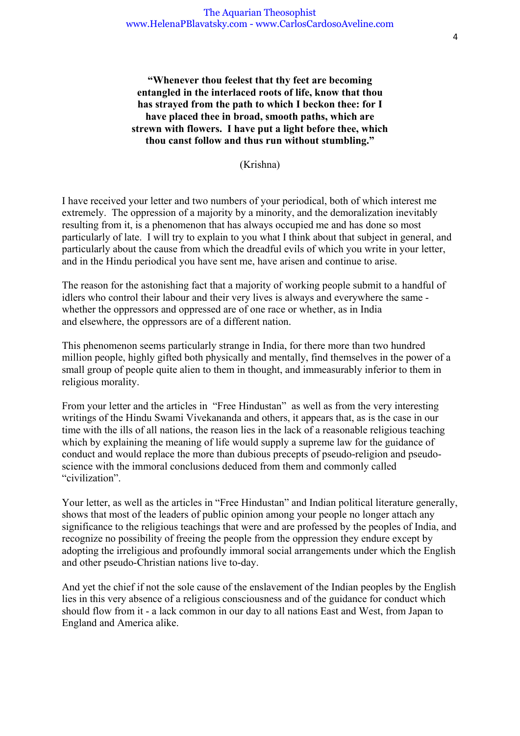**"Whenever thou feelest that thy feet are becoming entangled in the interlaced roots of life, know that thou has strayed from the path to which I beckon thee: for I have placed thee in broad, smooth paths, which are strewn with flowers. I have put a light before thee, which thou canst follow and thus run without stumbling."**

(Krishna)

I have received your letter and two numbers of your periodical, both of which interest me extremely. The oppression of a majority by a minority, and the demoralization inevitably resulting from it, is a phenomenon that has always occupied me and has done so most particularly of late. I will try to explain to you what I think about that subject in general, and particularly about the cause from which the dreadful evils of which you write in your letter, and in the Hindu periodical you have sent me, have arisen and continue to arise.

The reason for the astonishing fact that a majority of working people submit to a handful of idlers who control their labour and their very lives is always and everywhere the same whether the oppressors and oppressed are of one race or whether, as in India and elsewhere, the oppressors are of a different nation.

This phenomenon seems particularly strange in India, for there more than two hundred million people, highly gifted both physically and mentally, find themselves in the power of a small group of people quite alien to them in thought, and immeasurably inferior to them in religious morality.

From your letter and the articles in "Free Hindustan" as well as from the very interesting writings of the Hindu Swami Vivekananda and others, it appears that, as is the case in our time with the ills of all nations, the reason lies in the lack of a reasonable religious teaching which by explaining the meaning of life would supply a supreme law for the guidance of conduct and would replace the more than dubious precepts of pseudo-religion and pseudoscience with the immoral conclusions deduced from them and commonly called "civilization".

Your letter, as well as the articles in "Free Hindustan" and Indian political literature generally, shows that most of the leaders of public opinion among your people no longer attach any significance to the religious teachings that were and are professed by the peoples of India, and recognize no possibility of freeing the people from the oppression they endure except by adopting the irreligious and profoundly immoral social arrangements under which the English and other pseudo-Christian nations live to-day.

And yet the chief if not the sole cause of the enslavement of the Indian peoples by the English lies in this very absence of a religious consciousness and of the guidance for conduct which should flow from it - a lack common in our day to all nations East and West, from Japan to England and America alike.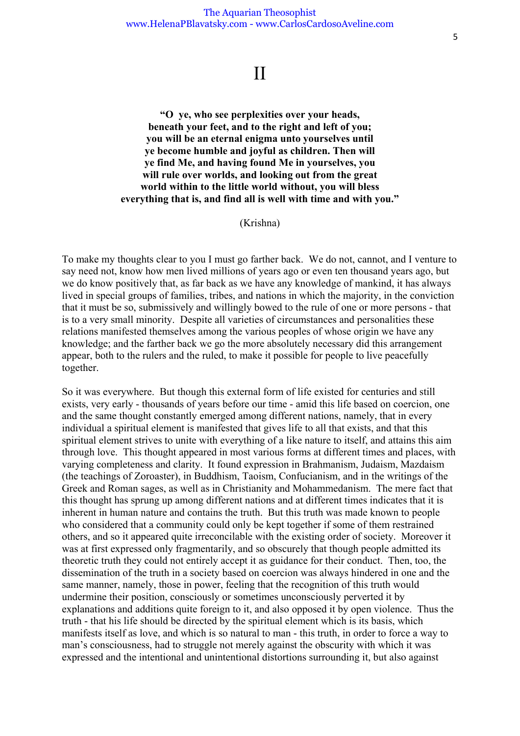## II

**"O ye, who see perplexities over your heads, beneath your feet, and to the right and left of you; you will be an eternal enigma unto yourselves until ye become humble and joyful as children. Then will ye find Me, and having found Me in yourselves, you will rule over worlds, and looking out from the great world within to the little world without, you will bless everything that is, and find all is well with time and with you."**

#### (Krishna)

To make my thoughts clear to you I must go farther back. We do not, cannot, and I venture to say need not, know how men lived millions of years ago or even ten thousand years ago, but we do know positively that, as far back as we have any knowledge of mankind, it has always lived in special groups of families, tribes, and nations in which the majority, in the conviction that it must be so, submissively and willingly bowed to the rule of one or more persons - that is to a very small minority. Despite all varieties of circumstances and personalities these relations manifested themselves among the various peoples of whose origin we have any knowledge; and the farther back we go the more absolutely necessary did this arrangement appear, both to the rulers and the ruled, to make it possible for people to live peacefully together.

So it was everywhere. But though this external form of life existed for centuries and still exists, very early - thousands of years before our time - amid this life based on coercion, one and the same thought constantly emerged among different nations, namely, that in every individual a spiritual element is manifested that gives life to all that exists, and that this spiritual element strives to unite with everything of a like nature to itself, and attains this aim through love. This thought appeared in most various forms at different times and places, with varying completeness and clarity. It found expression in Brahmanism, Judaism, Mazdaism (the teachings of Zoroaster), in Buddhism, Taoism, Confucianism, and in the writings of the Greek and Roman sages, as well as in Christianity and Mohammedanism. The mere fact that this thought has sprung up among different nations and at different times indicates that it is inherent in human nature and contains the truth. But this truth was made known to people who considered that a community could only be kept together if some of them restrained others, and so it appeared quite irreconcilable with the existing order of society. Moreover it was at first expressed only fragmentarily, and so obscurely that though people admitted its theoretic truth they could not entirely accept it as guidance for their conduct. Then, too, the dissemination of the truth in a society based on coercion was always hindered in one and the same manner, namely, those in power, feeling that the recognition of this truth would undermine their position, consciously or sometimes unconsciously perverted it by explanations and additions quite foreign to it, and also opposed it by open violence. Thus the truth - that his life should be directed by the spiritual element which is its basis, which manifests itself as love, and which is so natural to man - this truth, in order to force a way to man's consciousness, had to struggle not merely against the obscurity with which it was expressed and the intentional and unintentional distortions surrounding it, but also against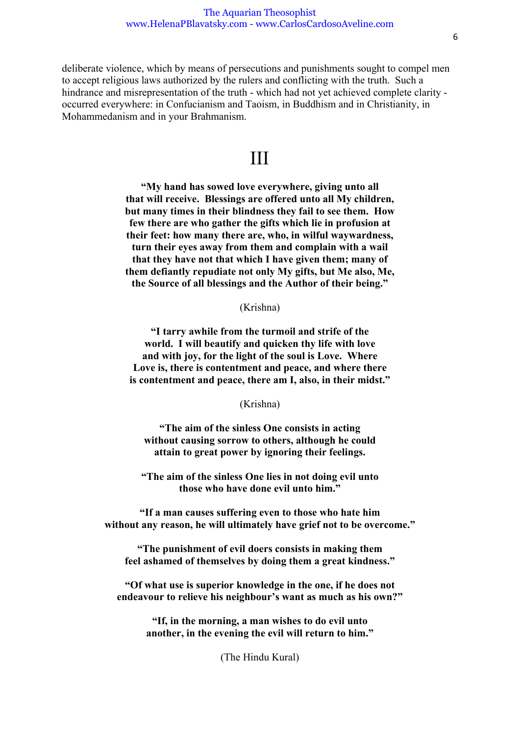deliberate violence, which by means of persecutions and punishments sought to compel men to accept religious laws authorized by the rulers and conflicting with the truth. Such a hindrance and misrepresentation of the truth - which had not yet achieved complete clarity occurred everywhere: in Confucianism and Taoism, in Buddhism and in Christianity, in Mohammedanism and in your Brahmanism.

## III

**"My hand has sowed love everywhere, giving unto all that will receive. Blessings are offered unto all My children, but many times in their blindness they fail to see them. How few there are who gather the gifts which lie in profusion at their feet: how many there are, who, in wilful waywardness, turn their eyes away from them and complain with a wail that they have not that which I have given them; many of them defiantly repudiate not only My gifts, but Me also, Me, the Source of all blessings and the Author of their being."**

(Krishna)

**"I tarry awhile from the turmoil and strife of the world. I will beautify and quicken thy life with love and with joy, for the light of the soul is Love. Where Love is, there is contentment and peace, and where there is contentment and peace, there am I, also, in their midst."**

(Krishna)

**"The aim of the sinless One consists in acting without causing sorrow to others, although he could attain to great power by ignoring their feelings.**

**"The aim of the sinless One lies in not doing evil unto those who have done evil unto him."** 

**"If a man causes suffering even to those who hate him without any reason, he will ultimately have grief not to be overcome."** 

**"The punishment of evil doers consists in making them feel ashamed of themselves by doing them a great kindness."** 

**"Of what use is superior knowledge in the one, if he does not endeavour to relieve his neighbour's want as much as his own?"** 

> **"If, in the morning, a man wishes to do evil unto another, in the evening the evil will return to him."**

> > (The Hindu Kural)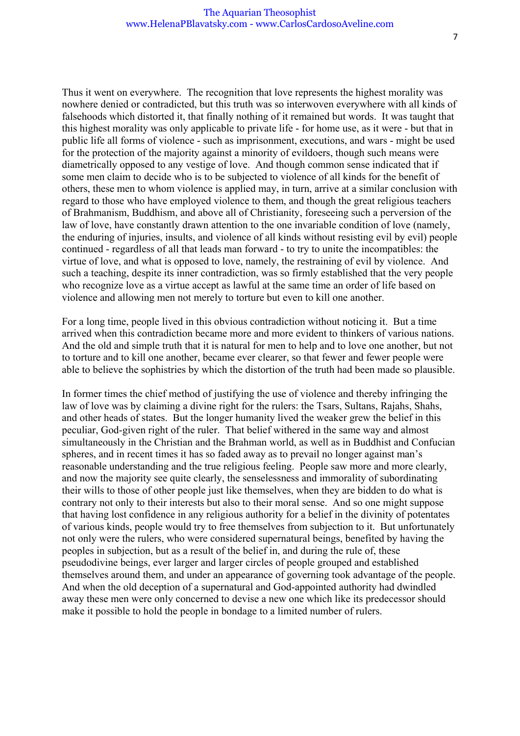#### The Aquarian Theosophist www.HelenaPBlavatsky.com - www.CarlosCardosoAveline.com

Thus it went on everywhere. The recognition that love represents the highest morality was nowhere denied or contradicted, but this truth was so interwoven everywhere with all kinds of falsehoods which distorted it, that finally nothing of it remained but words. It was taught that this highest morality was only applicable to private life - for home use, as it were - but that in public life all forms of violence - such as imprisonment, executions, and wars - might be used for the protection of the majority against a minority of evildoers, though such means were diametrically opposed to any vestige of love. And though common sense indicated that if some men claim to decide who is to be subjected to violence of all kinds for the benefit of others, these men to whom violence is applied may, in turn, arrive at a similar conclusion with regard to those who have employed violence to them, and though the great religious teachers of Brahmanism, Buddhism, and above all of Christianity, foreseeing such a perversion of the law of love, have constantly drawn attention to the one invariable condition of love (namely, the enduring of injuries, insults, and violence of all kinds without resisting evil by evil) people continued - regardless of all that leads man forward - to try to unite the incompatibles: the virtue of love, and what is opposed to love, namely, the restraining of evil by violence. And such a teaching, despite its inner contradiction, was so firmly established that the very people who recognize love as a virtue accept as lawful at the same time an order of life based on violence and allowing men not merely to torture but even to kill one another.

For a long time, people lived in this obvious contradiction without noticing it. But a time arrived when this contradiction became more and more evident to thinkers of various nations. And the old and simple truth that it is natural for men to help and to love one another, but not to torture and to kill one another, became ever clearer, so that fewer and fewer people were able to believe the sophistries by which the distortion of the truth had been made so plausible.

In former times the chief method of justifying the use of violence and thereby infringing the law of love was by claiming a divine right for the rulers: the Tsars, Sultans, Rajahs, Shahs, and other heads of states. But the longer humanity lived the weaker grew the belief in this peculiar, God-given right of the ruler. That belief withered in the same way and almost simultaneously in the Christian and the Brahman world, as well as in Buddhist and Confucian spheres, and in recent times it has so faded away as to prevail no longer against man's reasonable understanding and the true religious feeling. People saw more and more clearly, and now the majority see quite clearly, the senselessness and immorality of subordinating their wills to those of other people just like themselves, when they are bidden to do what is contrary not only to their interests but also to their moral sense. And so one might suppose that having lost confidence in any religious authority for a belief in the divinity of potentates of various kinds, people would try to free themselves from subjection to it. But unfortunately not only were the rulers, who were considered supernatural beings, benefited by having the peoples in subjection, but as a result of the belief in, and during the rule of, these pseudodivine beings, ever larger and larger circles of people grouped and established themselves around them, and under an appearance of governing took advantage of the people. And when the old deception of a supernatural and God-appointed authority had dwindled away these men were only concerned to devise a new one which like its predecessor should make it possible to hold the people in bondage to a limited number of rulers.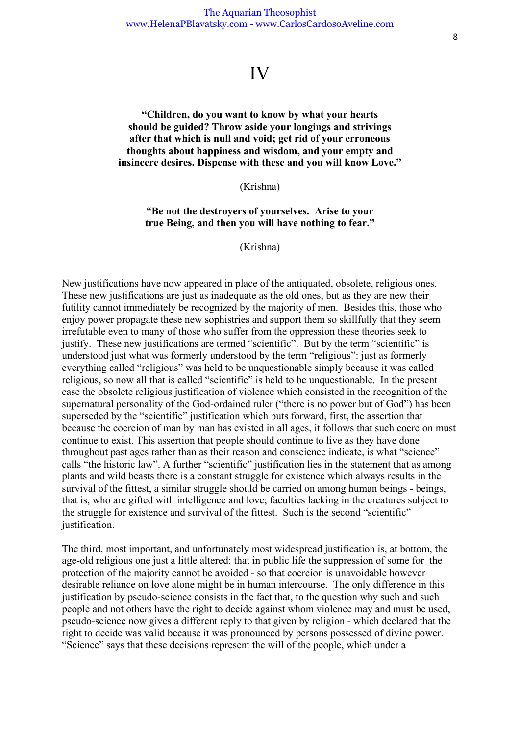## IV

### **"Children, do you want to know by what your hearts should be guided? Throw aside your longings and strivings after that which is null and void; get rid of your erroneous thoughts about happiness and wisdom, and your empty and insincere desires. Dispense with these and you will know Love."**

#### (Krishna)

### **"Be not the destroyers of yourselves. Arise to your true Being, and then you will have nothing to fear."**

(Krishna)

New justifications have now appeared in place of the antiquated, obsolete, religious ones. These new justifications are just as inadequate as the old ones, but as they are new their futility cannot immediately be recognized by the majority of men. Besides this, those who enjoy power propagate these new sophistries and support them so skillfully that they seem irrefutable even to many of those who suffer from the oppression these theories seek to justify. These new justifications are termed "scientific". But by the term "scientific" is understood just what was formerly understood by the term "religious": just as formerly everything called "religious" was held to be unquestionable simply because it was called religious, so now all that is called "scientific" is held to be unquestionable. In the present case the obsolete religious justification of violence which consisted in the recognition of the supernatural personality of the God-ordained ruler ("there is no power but of God") has been superseded by the "scientific" justification which puts forward, first, the assertion that because the coercion of man by man has existed in all ages, it follows that such coercion must continue to exist. This assertion that people should continue to live as they have done throughout past ages rather than as their reason and conscience indicate, is what "science" calls "the historic law". A further "scientific" justification lies in the statement that as among plants and wild beasts there is a constant struggle for existence which always results in the survival of the fittest, a similar struggle should be carried on among human beings - beings, that is, who are gifted with intelligence and love; faculties lacking in the creatures subject to the struggle for existence and survival of the fittest. Such is the second "scientific" justification.

The third, most important, and unfortunately most widespread justification is, at bottom, the age-old religious one just a little altered: that in public life the suppression of some for the protection of the majority cannot be avoided - so that coercion is unavoidable however desirable reliance on love alone might be in human intercourse. The only difference in this justification by pseudo-science consists in the fact that, to the question why such and such people and not others have the right to decide against whom violence may and must be used, pseudo-science now gives a different reply to that given by religion - which declared that the right to decide was valid because it was pronounced by persons possessed of divine power. "Science" says that these decisions represent the will of the people, which under a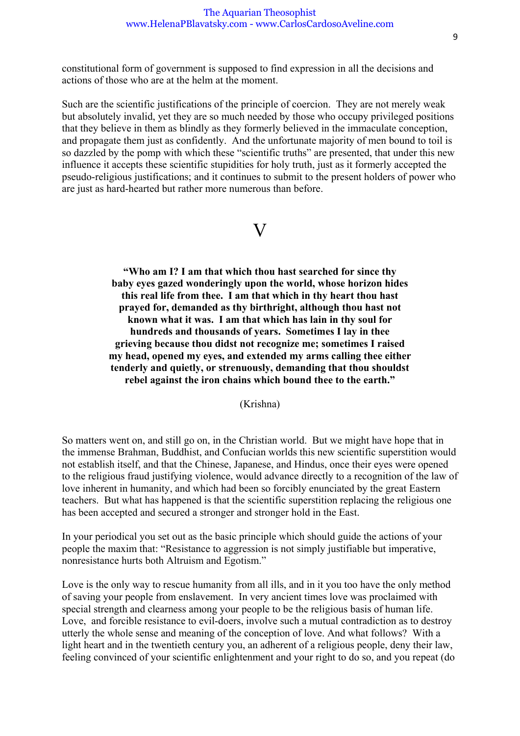constitutional form of government is supposed to find expression in all the decisions and actions of those who are at the helm at the moment.

Such are the scientific justifications of the principle of coercion. They are not merely weak but absolutely invalid, yet they are so much needed by those who occupy privileged positions that they believe in them as blindly as they formerly believed in the immaculate conception, and propagate them just as confidently. And the unfortunate majority of men bound to toil is so dazzled by the pomp with which these "scientific truths" are presented, that under this new influence it accepts these scientific stupidities for holy truth, just as it formerly accepted the pseudo-religious justifications; and it continues to submit to the present holders of power who are just as hard-hearted but rather more numerous than before.

## $\mathbf{V}$

**"Who am I? I am that which thou hast searched for since thy baby eyes gazed wonderingly upon the world, whose horizon hides this real life from thee. I am that which in thy heart thou hast prayed for, demanded as thy birthright, although thou hast not known what it was. I am that which has lain in thy soul for hundreds and thousands of years. Sometimes I lay in thee grieving because thou didst not recognize me; sometimes I raised my head, opened my eyes, and extended my arms calling thee either tenderly and quietly, or strenuously, demanding that thou shouldst rebel against the iron chains which bound thee to the earth."** 

(Krishna)

So matters went on, and still go on, in the Christian world. But we might have hope that in the immense Brahman, Buddhist, and Confucian worlds this new scientific superstition would not establish itself, and that the Chinese, Japanese, and Hindus, once their eyes were opened to the religious fraud justifying violence, would advance directly to a recognition of the law of love inherent in humanity, and which had been so forcibly enunciated by the great Eastern teachers. But what has happened is that the scientific superstition replacing the religious one has been accepted and secured a stronger and stronger hold in the East.

In your periodical you set out as the basic principle which should guide the actions of your people the maxim that: "Resistance to aggression is not simply justifiable but imperative, nonresistance hurts both Altruism and Egotism."

Love is the only way to rescue humanity from all ills, and in it you too have the only method of saving your people from enslavement. In very ancient times love was proclaimed with special strength and clearness among your people to be the religious basis of human life. Love, and forcible resistance to evil-doers, involve such a mutual contradiction as to destroy utterly the whole sense and meaning of the conception of love. And what follows? With a light heart and in the twentieth century you, an adherent of a religious people, deny their law, feeling convinced of your scientific enlightenment and your right to do so, and you repeat (do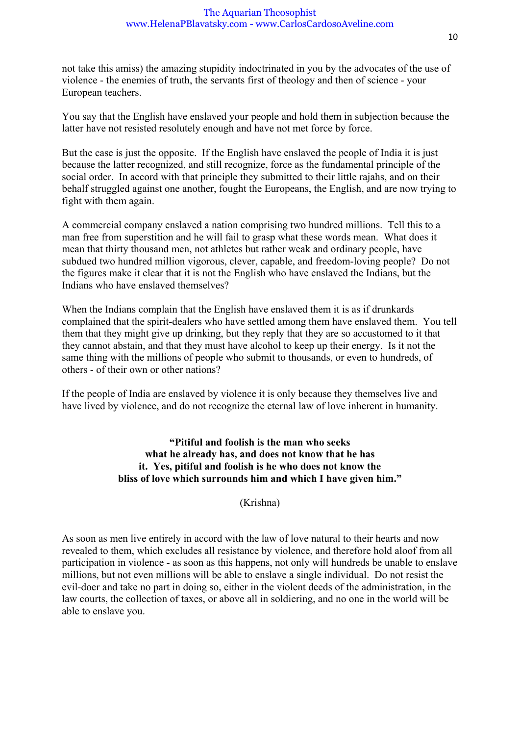not take this amiss) the amazing stupidity indoctrinated in you by the advocates of the use of violence - the enemies of truth, the servants first of theology and then of science - your European teachers.

You say that the English have enslaved your people and hold them in subjection because the latter have not resisted resolutely enough and have not met force by force.

But the case is just the opposite. If the English have enslaved the people of India it is just because the latter recognized, and still recognize, force as the fundamental principle of the social order. In accord with that principle they submitted to their little rajahs, and on their behalf struggled against one another, fought the Europeans, the English, and are now trying to fight with them again.

A commercial company enslaved a nation comprising two hundred millions. Tell this to a man free from superstition and he will fail to grasp what these words mean. What does it mean that thirty thousand men, not athletes but rather weak and ordinary people, have subdued two hundred million vigorous, clever, capable, and freedom-loving people? Do not the figures make it clear that it is not the English who have enslaved the Indians, but the Indians who have enslaved themselves?

When the Indians complain that the English have enslaved them it is as if drunkards complained that the spirit-dealers who have settled among them have enslaved them. You tell them that they might give up drinking, but they reply that they are so accustomed to it that they cannot abstain, and that they must have alcohol to keep up their energy. Is it not the same thing with the millions of people who submit to thousands, or even to hundreds, of others - of their own or other nations?

If the people of India are enslaved by violence it is only because they themselves live and have lived by violence, and do not recognize the eternal law of love inherent in humanity.

> **"Pitiful and foolish is the man who seeks what he already has, and does not know that he has it. Yes, pitiful and foolish is he who does not know the bliss of love which surrounds him and which I have given him."**

> > (Krishna)

As soon as men live entirely in accord with the law of love natural to their hearts and now revealed to them, which excludes all resistance by violence, and therefore hold aloof from all participation in violence - as soon as this happens, not only will hundreds be unable to enslave millions, but not even millions will be able to enslave a single individual. Do not resist the evil-doer and take no part in doing so, either in the violent deeds of the administration, in the law courts, the collection of taxes, or above all in soldiering, and no one in the world will be able to enslave you.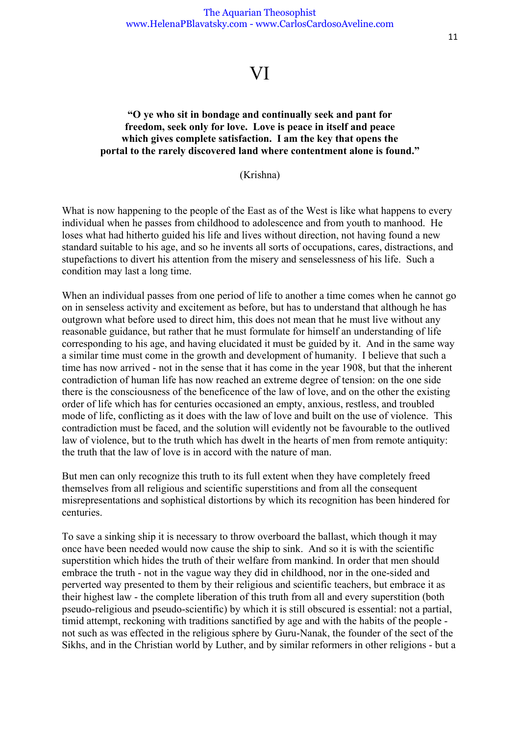## VI

### **"O ye who sit in bondage and continually seek and pant for freedom, seek only for love. Love is peace in itself and peace which gives complete satisfaction. I am the key that opens the portal to the rarely discovered land where contentment alone is found."**

(Krishna)

What is now happening to the people of the East as of the West is like what happens to every individual when he passes from childhood to adolescence and from youth to manhood. He loses what had hitherto guided his life and lives without direction, not having found a new standard suitable to his age, and so he invents all sorts of occupations, cares, distractions, and stupefactions to divert his attention from the misery and senselessness of his life. Such a condition may last a long time.

When an individual passes from one period of life to another a time comes when he cannot go on in senseless activity and excitement as before, but has to understand that although he has outgrown what before used to direct him, this does not mean that he must live without any reasonable guidance, but rather that he must formulate for himself an understanding of life corresponding to his age, and having elucidated it must be guided by it. And in the same way a similar time must come in the growth and development of humanity. I believe that such a time has now arrived - not in the sense that it has come in the year 1908, but that the inherent contradiction of human life has now reached an extreme degree of tension: on the one side there is the consciousness of the beneficence of the law of love, and on the other the existing order of life which has for centuries occasioned an empty, anxious, restless, and troubled mode of life, conflicting as it does with the law of love and built on the use of violence. This contradiction must be faced, and the solution will evidently not be favourable to the outlived law of violence, but to the truth which has dwelt in the hearts of men from remote antiquity: the truth that the law of love is in accord with the nature of man.

But men can only recognize this truth to its full extent when they have completely freed themselves from all religious and scientific superstitions and from all the consequent misrepresentations and sophistical distortions by which its recognition has been hindered for centuries.

To save a sinking ship it is necessary to throw overboard the ballast, which though it may once have been needed would now cause the ship to sink. And so it is with the scientific superstition which hides the truth of their welfare from mankind. In order that men should embrace the truth - not in the vague way they did in childhood, nor in the one-sided and perverted way presented to them by their religious and scientific teachers, but embrace it as their highest law - the complete liberation of this truth from all and every superstition (both pseudo-religious and pseudo-scientific) by which it is still obscured is essential: not a partial, timid attempt, reckoning with traditions sanctified by age and with the habits of the people not such as was effected in the religious sphere by Guru-Nanak, the founder of the sect of the Sikhs, and in the Christian world by Luther, and by similar reformers in other religions - but a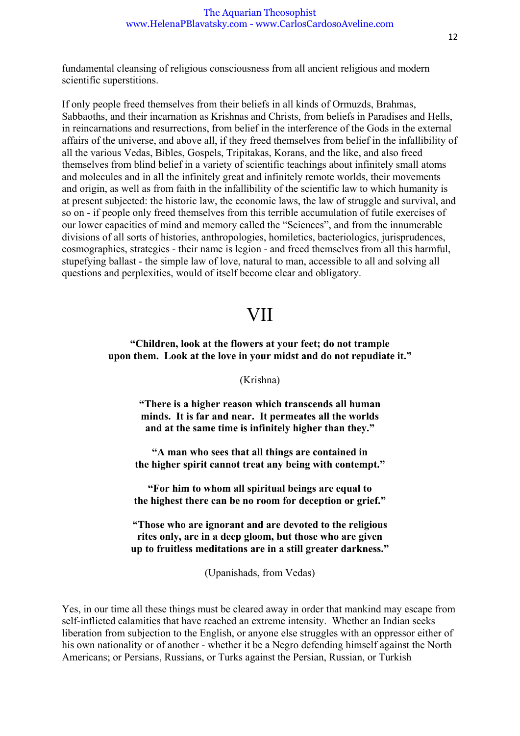fundamental cleansing of religious consciousness from all ancient religious and modern scientific superstitions.

If only people freed themselves from their beliefs in all kinds of Ormuzds, Brahmas, Sabbaoths, and their incarnation as Krishnas and Christs, from beliefs in Paradises and Hells, in reincarnations and resurrections, from belief in the interference of the Gods in the external affairs of the universe, and above all, if they freed themselves from belief in the infallibility of all the various Vedas, Bibles, Gospels, Tripitakas, Korans, and the like, and also freed themselves from blind belief in a variety of scientific teachings about infinitely small atoms and molecules and in all the infinitely great and infinitely remote worlds, their movements and origin, as well as from faith in the infallibility of the scientific law to which humanity is at present subjected: the historic law, the economic laws, the law of struggle and survival, and so on - if people only freed themselves from this terrible accumulation of futile exercises of our lower capacities of mind and memory called the "Sciences", and from the innumerable divisions of all sorts of histories, anthropologies, homiletics, bacteriologics, jurisprudences, cosmographies, strategies - their name is legion - and freed themselves from all this harmful, stupefying ballast - the simple law of love, natural to man, accessible to all and solving all questions and perplexities, would of itself become clear and obligatory.

## VII

### **"Children, look at the flowers at your feet; do not trample upon them. Look at the love in your midst and do not repudiate it."**

(Krishna)

**"There is a higher reason which transcends all human minds. It is far and near. It permeates all the worlds and at the same time is infinitely higher than they."** 

**"A man who sees that all things are contained in the higher spirit cannot treat any being with contempt."** 

**"For him to whom all spiritual beings are equal to the highest there can be no room for deception or grief."** 

**"Those who are ignorant and are devoted to the religious rites only, are in a deep gloom, but those who are given up to fruitless meditations are in a still greater darkness."** 

(Upanishads, from Vedas)

Yes, in our time all these things must be cleared away in order that mankind may escape from self-inflicted calamities that have reached an extreme intensity. Whether an Indian seeks liberation from subjection to the English, or anyone else struggles with an oppressor either of his own nationality or of another - whether it be a Negro defending himself against the North Americans; or Persians, Russians, or Turks against the Persian, Russian, or Turkish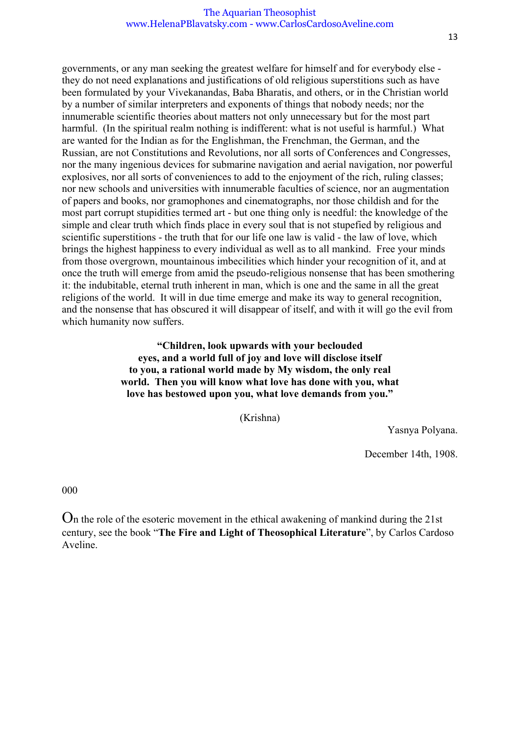governments, or any man seeking the greatest welfare for himself and for everybody else they do not need explanations and justifications of old religious superstitions such as have been formulated by your Vivekanandas, Baba Bharatis, and others, or in the Christian world by a number of similar interpreters and exponents of things that nobody needs; nor the innumerable scientific theories about matters not only unnecessary but for the most part harmful. (In the spiritual realm nothing is indifferent: what is not useful is harmful.) What are wanted for the Indian as for the Englishman, the Frenchman, the German, and the Russian, are not Constitutions and Revolutions, nor all sorts of Conferences and Congresses, nor the many ingenious devices for submarine navigation and aerial navigation, nor powerful explosives, nor all sorts of conveniences to add to the enjoyment of the rich, ruling classes; nor new schools and universities with innumerable faculties of science, nor an augmentation of papers and books, nor gramophones and cinematographs, nor those childish and for the most part corrupt stupidities termed art - but one thing only is needful: the knowledge of the simple and clear truth which finds place in every soul that is not stupefied by religious and scientific superstitions - the truth that for our life one law is valid - the law of love, which brings the highest happiness to every individual as well as to all mankind. Free your minds from those overgrown, mountainous imbecilities which hinder your recognition of it, and at once the truth will emerge from amid the pseudo-religious nonsense that has been smothering it: the indubitable, eternal truth inherent in man, which is one and the same in all the great religions of the world. It will in due time emerge and make its way to general recognition, and the nonsense that has obscured it will disappear of itself, and with it will go the evil from which humanity now suffers.

> **"Children, look upwards with your beclouded eyes, and a world full of joy and love will disclose itself to you, a rational world made by My wisdom, the only real world. Then you will know what love has done with you, what love has bestowed upon you, what love demands from you."**

> > (Krishna)

Yasnya Polyana.

December 14th, 1908.

000

On the role of the esoteric movement in the ethical awakening of mankind during the 21st century, see the book "**The Fire and Light of Theosophical Literature**", by Carlos Cardoso Aveline.